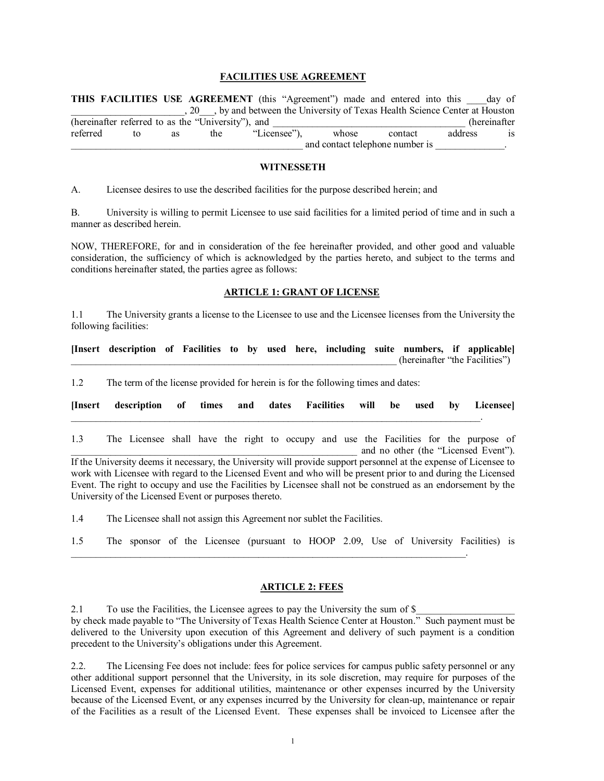## **FACILITIES USE AGREEMENT**

**THIS FACILITIES USE AGREEMENT** (this "Agreement") made and entered into this \_\_\_\_day of , 20  $\blacksquare$ , by and between the University of Texas Health Science Center at Houston (hereinafter referred to as the "University"), and  $\blacksquare$  (hereinafter referred to as the "Licensee"), whose contact address is and contact telephone number is

### **WITNESSETH**

A. Licensee desires to use the described facilities for the purpose described herein; and

B. University is willing to permit Licensee to use said facilities for a limited period of time and in such a manner as described herein.

NOW, THEREFORE, for and in consideration of the fee hereinafter provided, and other good and valuable consideration, the sufficiency of which is acknowledged by the parties hereto, and subject to the terms and conditions hereinafter stated, the parties agree as follows:

### **ARTICLE 1: GRANT OF LICENSE**

1.1 The University grants a license to the Licensee to use and the Licensee licenses from the University the following facilities:

| [Insert description of Facilities to by used here, including suite numbers, if applicable] |  |  |  |  |  |                                |  |
|--------------------------------------------------------------------------------------------|--|--|--|--|--|--------------------------------|--|
|                                                                                            |  |  |  |  |  | (hereinafter "the Facilities") |  |

1.2 The term of the license provided for herein is for the following times and dates:

| [Insert description of times and dates Facilities will be used by Licensee] |  |  |  |  |  |
|-----------------------------------------------------------------------------|--|--|--|--|--|
|                                                                             |  |  |  |  |  |

1.3 The Licensee shall have the right to occupy and use the Facilities for the purpose of and no other (the "Licensed Event"). If the University deems it necessary, the University will provide support personnel at the expense of Licensee to work with Licensee with regard to the Licensed Event and who will be present prior to and during the Licensed Event. The right to occupy and use the Facilities by Licensee shall not be construed as an endorsement by the University of the Licensed Event or purposes thereto.

1.4 The Licensee shall not assign this Agreement nor sublet the Facilities.

1.5 The sponsor of the Licensee (pursuant to HOOP 2.09, Use of University Facilities) is

\_\_\_\_\_\_\_\_\_\_\_\_\_\_\_\_\_\_\_\_\_\_\_\_\_\_\_\_\_\_\_\_\_\_\_\_\_\_\_\_\_\_\_\_\_\_\_\_\_\_\_\_\_\_\_\_\_\_\_\_\_\_\_\_\_\_\_\_\_\_\_\_\_\_\_\_\_\_\_\_.

#### **ARTICLE 2: FEES**

2.1 To use the Facilities, the Licensee agrees to pay the University the sum of \$ by check made payable to "The University of Texas Health Science Center at Houston." Such payment must be delivered to the University upon execution of this Agreement and delivery of such payment is a condition precedent to the University's obligations under this Agreement.

2.2. The Licensing Fee does not include: fees for police services for campus public safety personnel or any other additional support personnel that the University, in its sole discretion, may require for purposes of the Licensed Event, expenses for additional utilities, maintenance or other expenses incurred by the University because of the Licensed Event, or any expenses incurred by the University for clean-up, maintenance or repair of the Facilities as a result of the Licensed Event. These expenses shall be invoiced to Licensee after the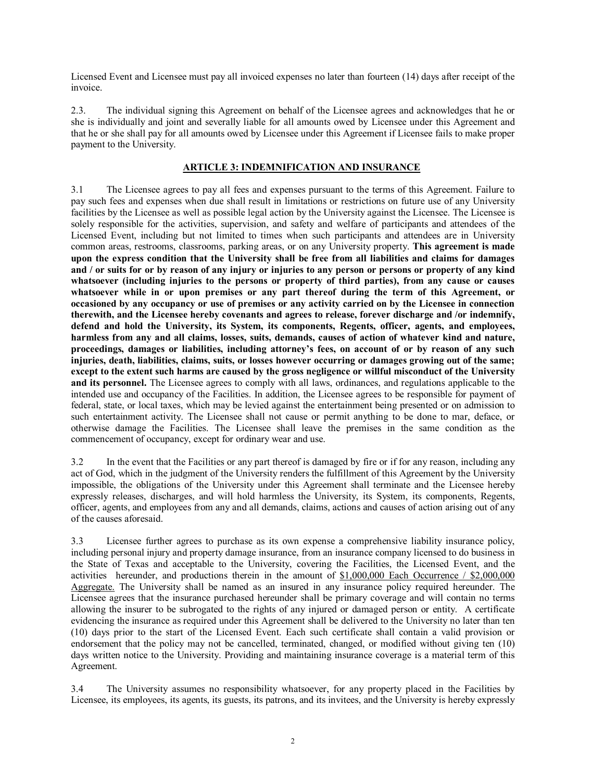Licensed Event and Licensee must pay all invoiced expenses no later than fourteen (14) days after receipt of the invoice.

2.3. The individual signing this Agreement on behalf of the Licensee agrees and acknowledges that he or she is individually and joint and severally liable for all amounts owed by Licensee under this Agreement and that he or she shall pay for all amounts owed by Licensee under this Agreement if Licensee fails to make proper payment to the University.

# **ARTICLE 3: INDEMNIFICATION AND INSURANCE**

3.1 The Licensee agrees to pay all fees and expenses pursuant to the terms of this Agreement. Failure to pay such fees and expenses when due shall result in limitations or restrictions on future use of any University facilities by the Licensee as well as possible legal action by the University against the Licensee. The Licensee is solely responsible for the activities, supervision, and safety and welfare of participants and attendees of the Licensed Event, including but not limited to times when such participants and attendees are in University common areas, restrooms, classrooms, parking areas, or on any University property. **This agreement is made upon the express condition that the University shall be free from all liabilities and claims for damages and / or suits for or by reason of any injury or injuries to any person or persons or property of any kind whatsoever (including injuries to the persons or property of third parties), from any cause or causes whatsoever while in or upon premises or any part thereof during the term of this Agreement, or occasioned by any occupancy or use of premises or any activity carried on by the Licensee in connection therewith, and the Licensee hereby covenants and agrees to release, forever discharge and /or indemnify, defend and hold the University, its System, its components, Regents, officer, agents, and employees, harmless from any and all claims, losses, suits, demands, causes of action of whatever kind and nature, proceedings, damages or liabilities, including attorney's fees, on account of or by reason of any such injuries, death, liabilities, claims, suits, or losses however occurring or damages growing out of the same; except to the extent such harms are caused by the gross negligence or willful misconduct of the University and its personnel.** The Licensee agrees to comply with all laws, ordinances, and regulations applicable to the intended use and occupancy of the Facilities. In addition, the Licensee agrees to be responsible for payment of federal, state, or local taxes, which may be levied against the entertainment being presented or on admission to such entertainment activity. The Licensee shall not cause or permit anything to be done to mar, deface, or otherwise damage the Facilities. The Licensee shall leave the premises in the same condition as the commencement of occupancy, except for ordinary wear and use.

3.2 In the event that the Facilities or any part thereof is damaged by fire or if for any reason, including any act of God, which in the judgment of the University renders the fulfillment of this Agreement by the University impossible, the obligations of the University under this Agreement shall terminate and the Licensee hereby expressly releases, discharges, and will hold harmless the University, its System, its components, Regents, officer, agents, and employees from any and all demands, claims, actions and causes of action arising out of any of the causes aforesaid.

3.3 Licensee further agrees to purchase as its own expense a comprehensive liability insurance policy, including personal injury and property damage insurance, from an insurance company licensed to do business in the State of Texas and acceptable to the University, covering the Facilities, the Licensed Event, and the activities hereunder, and productions therein in the amount of \$1,000,000 Each Occurrence / \$2,000,000 Aggregate. The University shall be named as an insured in any insurance policy required hereunder. The Licensee agrees that the insurance purchased hereunder shall be primary coverage and will contain no terms allowing the insurer to be subrogated to the rights of any injured or damaged person or entity. A certificate evidencing the insurance as required under this Agreement shall be delivered to the University no later than ten (10) days prior to the start of the Licensed Event. Each such certificate shall contain a valid provision or endorsement that the policy may not be cancelled, terminated, changed, or modified without giving ten (10) days written notice to the University. Providing and maintaining insurance coverage is a material term of this Agreement.

3.4 The University assumes no responsibility whatsoever, for any property placed in the Facilities by Licensee, its employees, its agents, its guests, its patrons, and its invitees, and the University is hereby expressly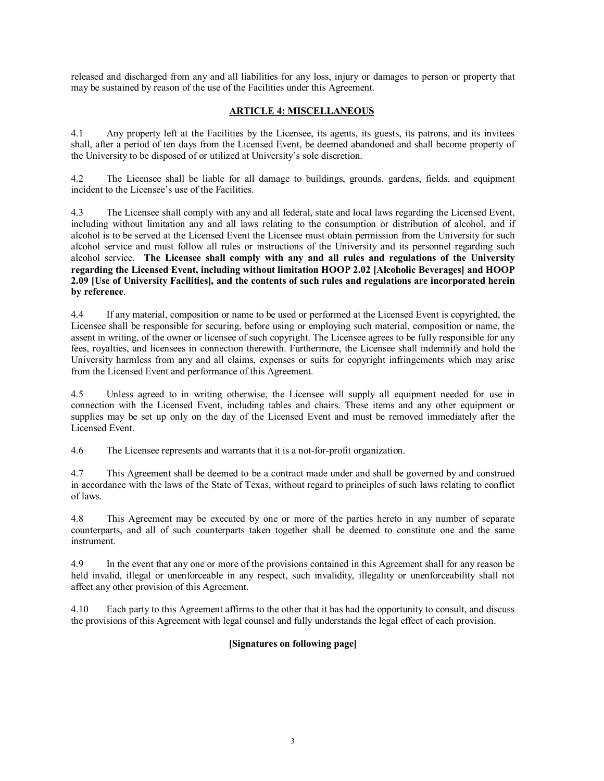released and discharged from any and all liabilities for any loss, injury or damages to person or property that may be sustained by reason of the use of the Facilities under this Agreement.

# **ARTICLE 4: MISCELLANEOUS**

4.1 Any property left at the Facilities by the Licensee, its agents, its guests, its patrons, and its invitees shall, after a period of ten days from the Licensed Event, be deemed abandoned and shall become property of the University to be disposed of or utilized at University's sole discretion.

4.2 The Licensee shall be liable for all damage to buildings, grounds, gardens, fields, and equipment incident to the Licensee's use of the Facilities.

4.3 The Licensee shall comply with any and all federal, state and local laws regarding the Licensed Event, including without limitation any and all laws relating to the consumption or distribution of alcohol, and if alcohol is to be served at the Licensed Event the Licensee must obtain permission from the University for such alcohol service and must follow all rules or instructions of the University and its personnel regarding such alcohol service. **The Licensee shall comply with any and all rules and regulations of the University regarding the Licensed Event, including without limitation HOOP 2.02 [Alcoholic Beverages] and HOOP 2.09 [Use of University Facilities], and the contents of such rules and regulations are incorporated herein by reference**.

4.4 If any material, composition or name to be used or performed at the Licensed Event is copyrighted, the Licensee shall be responsible for securing, before using or employing such material, composition or name, the assent in writing, of the owner or licensee of such copyright. The Licensee agrees to be fully responsible for any fees, royalties, and licensees in connection therewith. Furthermore, the Licensee shall indemnify and hold the University harmless from any and all claims, expenses or suits for copyright infringements which may arise from the Licensed Event and performance of this Agreement.

4.5 Unless agreed to in writing otherwise, the Licensee will supply all equipment needed for use in connection with the Licensed Event, including tables and chairs. These items and any other equipment or supplies may be set up only on the day of the Licensed Event and must be removed immediately after the Licensed Event.

4.6 The Licensee represents and warrants that it is a not-for-profit organization.

4.7 This Agreement shall be deemed to be a contract made under and shall be governed by and construed in accordance with the laws of the State of Texas, without regard to principles of such laws relating to conflict of laws.

4.8 This Agreement may be executed by one or more of the parties hereto in any number of separate counterparts, and all of such counterparts taken together shall be deemed to constitute one and the same instrument.

4.9 In the event that any one or more of the provisions contained in this Agreement shall for any reason be held invalid, illegal or unenforceable in any respect, such invalidity, illegality or unenforceability shall not affect any other provision of this Agreement.

4.10 Each party to this Agreement affirms to the other that it has had the opportunity to consult, and discuss the provisions of this Agreement with legal counsel and fully understands the legal effect of each provision.

## **[Signatures on following page]**